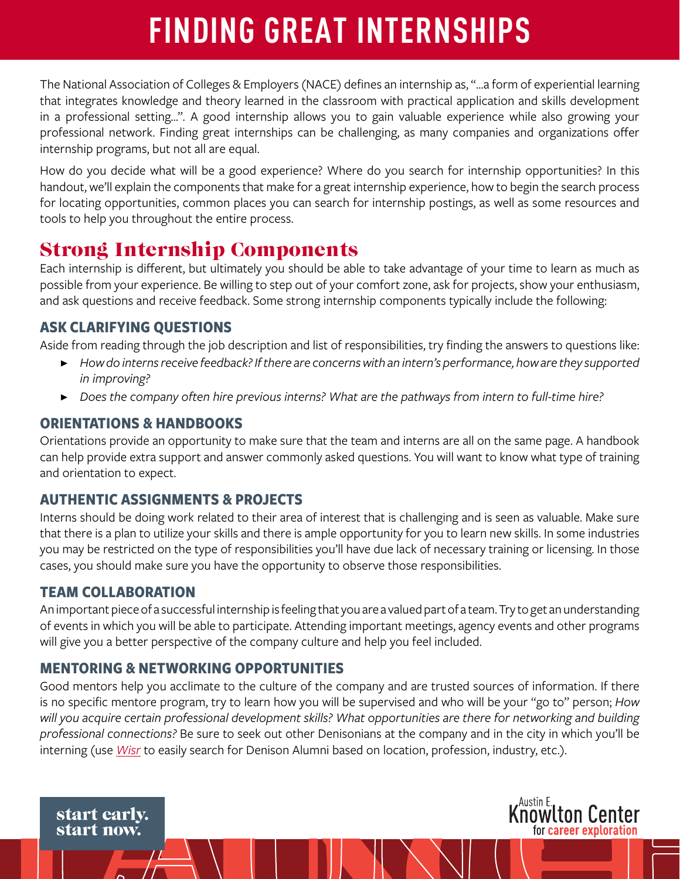# **FINDING GREAT INTERNSHIPS**

The National Association of Colleges & Employers (NACE) defines an internship as, "...a form of experiential learning that integrates knowledge and theory learned in the classroom with practical application and skills development in a professional setting…". A good internship allows you to gain valuable experience while also growing your professional network. Finding great internships can be challenging, as many companies and organizations offer internship programs, but not all are equal.

How do you decide what will be a good experience? Where do you search for internship opportunities? In this handout, we'll explain the components that make for a great internship experience, how to begin the search process for locating opportunities, common places you can search for internship postings, as well as some resources and tools to help you throughout the entire process.

# Strong Internship Components

Each internship is different, but ultimately you should be able to take advantage of your time to learn as much as possible from your experience. Be willing to step out of your comfort zone, ask for projects, show your enthusiasm, and ask questions and receive feedback. Some strong internship components typically include the following:

# **ASK CLARIFYING QUESTIONS**

Aside from reading through the job description and list of responsibilities, try finding the answers to questions like:

- ▶ *How do interns receive feedback? If there are concerns with an intern's performance, how are they supported in improving?*
- ▶ *Does the company often hire previous interns? What are the pathways from intern to full-time hire?*

# **ORIENTATIONS & HANDBOOKS**

Orientations provide an opportunity to make sure that the team and interns are all on the same page. A handbook can help provide extra support and answer commonly asked questions. You will want to know what type of training and orientation to expect.

# **AUTHENTIC ASSIGNMENTS & PROJECTS**

Interns should be doing work related to their area of interest that is challenging and is seen as valuable. Make sure that there is a plan to utilize your skills and there is ample opportunity for you to learn new skills. In some industries you may be restricted on the type of responsibilities you'll have due lack of necessary training or licensing. In those cases, you should make sure you have the opportunity to observe those responsibilities.

# **TEAM COLLABORATION**

An important piece of a successful internship is feeling that you are a valued part of a team. Try to get an understanding of events in which you will be able to participate. Attending important meetings, agency events and other programs will give you a better perspective of the company culture and help you feel included.

# **MENTORING & NETWORKING OPPORTUNITIES**

Good mentors help you acclimate to the culture of the company and are trusted sources of information. If there is no specific mentore program, try to learn how you will be supervised and who will be your "go to" person; *How will you acquire certain professional development skills? What opportunities are there for networking and building professional connections?* Be sure to seek out other Denisonians at the company and in the city in which you'll be interning (use *[Wisr](https://denison.wisr.io/login/)* to easily search for Denison Alumni based on location, profession, industry, etc.).

**Knowlton Center** 

for career exploration

start early. start now.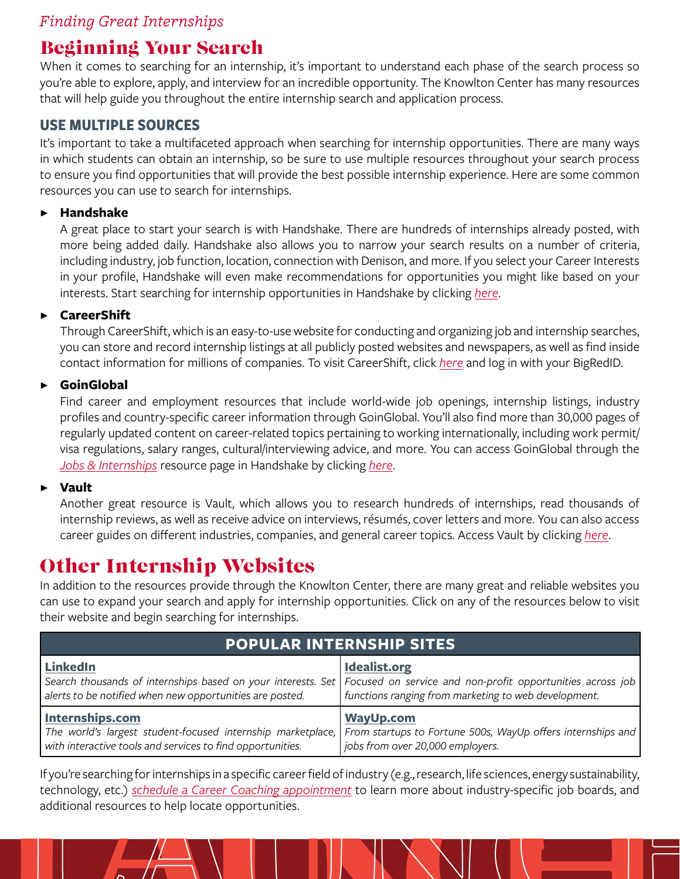# *Finding Great Internships*

# Beginning Your Search

When it comes to searching for an internship, it's important to understand each phase of the search process so you're able to explore, apply, and interview for an incredible opportunity. The Knowlton Center has many resources that will help guide you throughout the entire internship search and application process.

### **USE MULTIPLE SOURCES**

It's important to take a multifaceted approach when searching for internship opportunities. There are many ways in which students can obtain an internship, so be sure to use multiple resources throughout your search process to ensure you find opportunities that will provide the best possible internship experience. Here are some common resources you can use to search for internships.

#### ▶ **Handshake**

A great place to start your search is with Handshake. There are hundreds of internships already posted, with more being added daily. Handshake also allows you to narrow your search results on a number of criteria, including industry, job function, location, connection with Denison, and more. If you select your Career Interests in your profile, Handshake will even make recommendations for opportunities you might like based on your interests. Start searching for internship opportunities in Handshake by clicking *[here](https://denison.joinhandshake.com/postings?ajax=true&query=&category=UniversityPostings&page=1&per_page=25&sort_direction=asc&sort_column=default&followed_only=false&qualified_only=&core_schools_only=false&including_all_facets_in_searches=true&job_type_names%5B%5D=Internship&status%5B%5D=approved)*.

#### ▶ **CareerShift**

Through CareerShift, which is an easy-to-use website for conducting and organizing job and internship searches, you can store and record internship listings at all publicly posted websites and newspapers, as well as find inside contact information for millions of companies. To visit CareerShift, click *[here](https://www.careershift.com/Account/Login)* and log in with your BigRedID.

#### ▶ **GoinGlobal**

Find career and employment resources that include world-wide job openings, internship listings, industry profiles and country-specific career information through GoinGlobal. You'll also find more than 30,000 pages of regularly updated content on career-related topics pertaining to working internationally, including work permit/ visa regulations, salary ranges, cultural/interviewing advice, and more. You can access GoinGlobal through the *[Jobs & Internships](https://denison.joinhandshake.com/articles/9618)* resource page in Handshake by clicking *[here](https://denison.joinhandshake.com/articles/9618)*.

#### ▶ **Vault**

Another great resource is Vault, which allows you to research hundreds of internships, read thousands of internship reviews, as well as receive advice on interviews, résumés, cover letters and more. You can also access career guides on different industries, companies, and general career topics. Access Vault by clicking *[here](https://www.vault.com/internship-programs)*.

# Other Internship Websites

In addition to the resources provide through the Knowlton Center, there are many great and reliable websites you can use to expand your search and apply for internship opportunities. Click on any of the resources below to visit their website and begin searching for internships.

| <b>POPULAR INTERNSHIP SITES</b>                                                                                                                                                                          |                                                                                                                                                                                                 |
|----------------------------------------------------------------------------------------------------------------------------------------------------------------------------------------------------------|-------------------------------------------------------------------------------------------------------------------------------------------------------------------------------------------------|
| LinkedIn<br>alerts to be notified when new opportunities are posted.                                                                                                                                     | Idealist.org<br>Search thousands of internships based on your interests. Set Focused on service and non-profit opportunities across job<br>functions ranging from marketing to web development. |
| Internships.com<br>The world's largest student-focused internship marketplace, From startups to Fortune 500s, WayUp offers internships and<br>with interactive tools and services to find opportunities. | <b>WayUp.com</b><br>jobs from over 20,000 employers.                                                                                                                                            |

If you're searching for internships in a specific career field of industry (e.g., research, life sciences, energy sustainability, technology, etc.) *[schedule a Career Coaching appointment](https://denison.joinhandshake.com/appointments)* to learn more about industry-specific job boards, and additional resources to help locate opportunities.